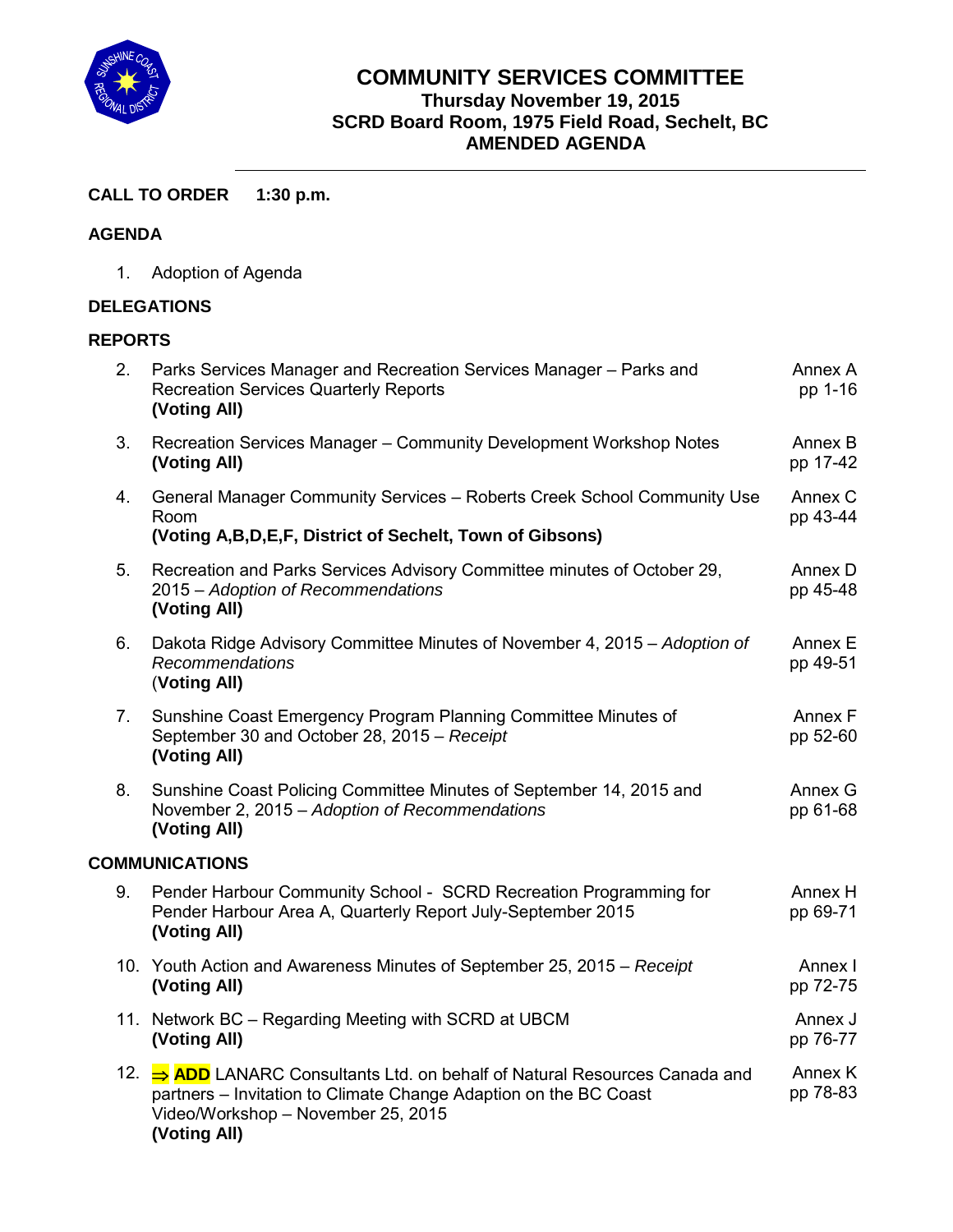

## **COMMUNITY SERVICES COMMITTEE Thursday November 19, 2015 SCRD Board Room, 1975 Field Road, Sechelt, BC AMENDED AGENDA**

## **CALL TO ORDER 1:30 p.m.**

### **AGENDA**

1. Adoption of Agenda

#### **DELEGATIONS**

### **REPORTS**

| 2.                    | Parks Services Manager and Recreation Services Manager - Parks and<br><b>Recreation Services Quarterly Reports</b><br>(Voting All)                                                                    | Annex A<br>pp 1-16  |  |  |
|-----------------------|-------------------------------------------------------------------------------------------------------------------------------------------------------------------------------------------------------|---------------------|--|--|
| 3.                    | Recreation Services Manager - Community Development Workshop Notes<br>(Voting All)                                                                                                                    | Annex B<br>pp 17-42 |  |  |
| 4.                    | General Manager Community Services - Roberts Creek School Community Use<br>Room<br>(Voting A, B, D, E, F, District of Sechelt, Town of Gibsons)                                                       | Annex C<br>pp 43-44 |  |  |
| 5.                    | Recreation and Parks Services Advisory Committee minutes of October 29,<br>2015 - Adoption of Recommendations<br>(Voting All)                                                                         | Annex D<br>pp 45-48 |  |  |
| 6.                    | Dakota Ridge Advisory Committee Minutes of November 4, 2015 - Adoption of<br><b>Recommendations</b><br>(Voting All)                                                                                   | Annex E<br>pp 49-51 |  |  |
| 7.                    | Sunshine Coast Emergency Program Planning Committee Minutes of<br>September 30 and October 28, 2015 - Receipt<br>(Voting All)                                                                         | Annex F<br>pp 52-60 |  |  |
| 8.                    | Sunshine Coast Policing Committee Minutes of September 14, 2015 and<br>November 2, 2015 - Adoption of Recommendations<br>(Voting All)                                                                 | Annex G<br>pp 61-68 |  |  |
| <b>COMMUNICATIONS</b> |                                                                                                                                                                                                       |                     |  |  |
| 9.                    | Pender Harbour Community School - SCRD Recreation Programming for<br>Pender Harbour Area A, Quarterly Report July-September 2015<br>(Voting All)                                                      | Annex H<br>pp 69-71 |  |  |
|                       | 10. Youth Action and Awareness Minutes of September 25, 2015 – Receipt<br>(Voting All)                                                                                                                | Annex I<br>pp 72-75 |  |  |
|                       | 11. Network BC - Regarding Meeting with SCRD at UBCM<br>(Voting All)                                                                                                                                  | Annex J<br>pp 76-77 |  |  |
|                       | 12. ⇒ ADD LANARC Consultants Ltd. on behalf of Natural Resources Canada and<br>partners - Invitation to Climate Change Adaption on the BC Coast<br>Video/Workshop - November 25, 2015<br>(Voting All) | Annex K<br>pp 78-83 |  |  |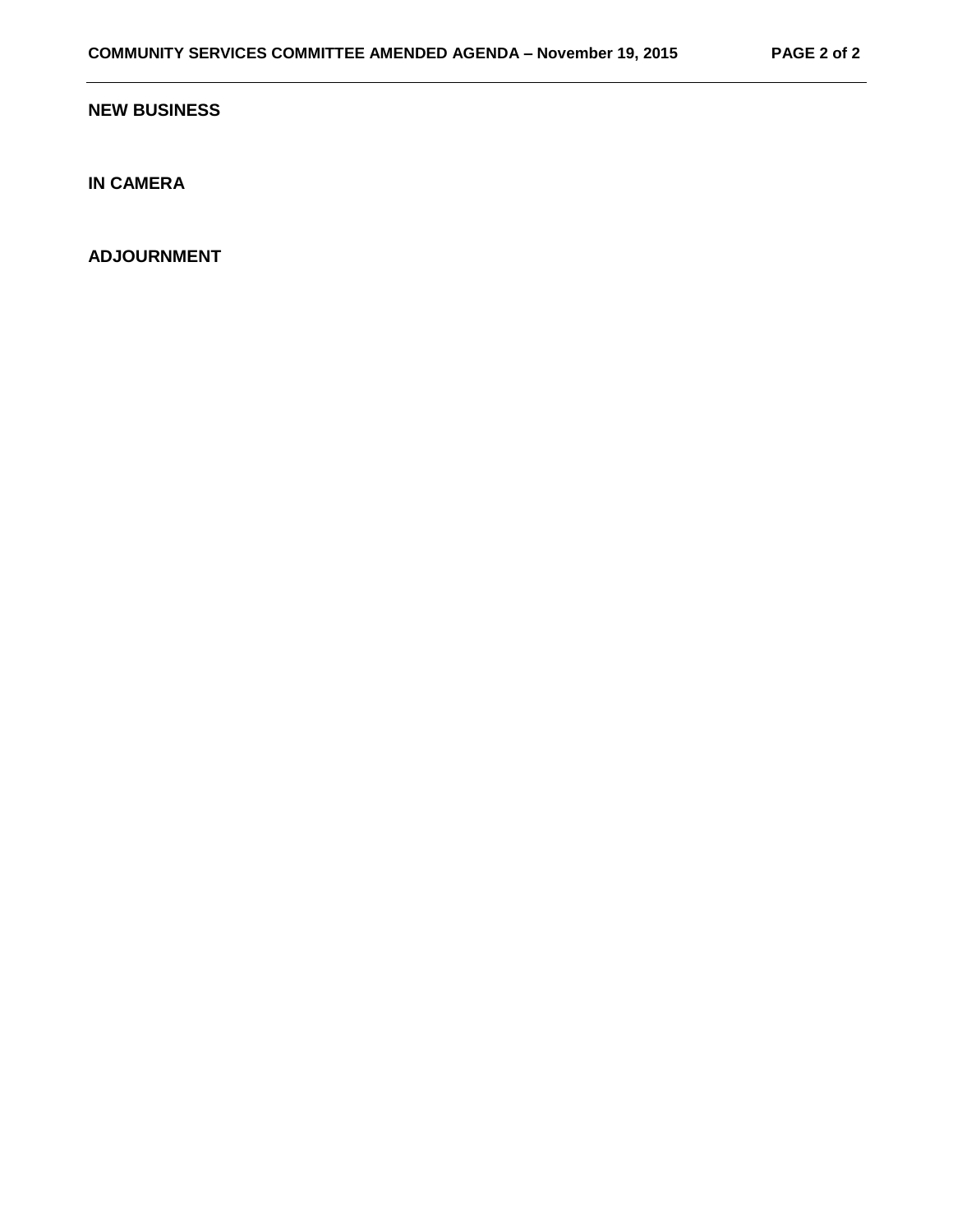#### **NEW BUSINESS**

**IN CAMERA**

**ADJOURNMENT**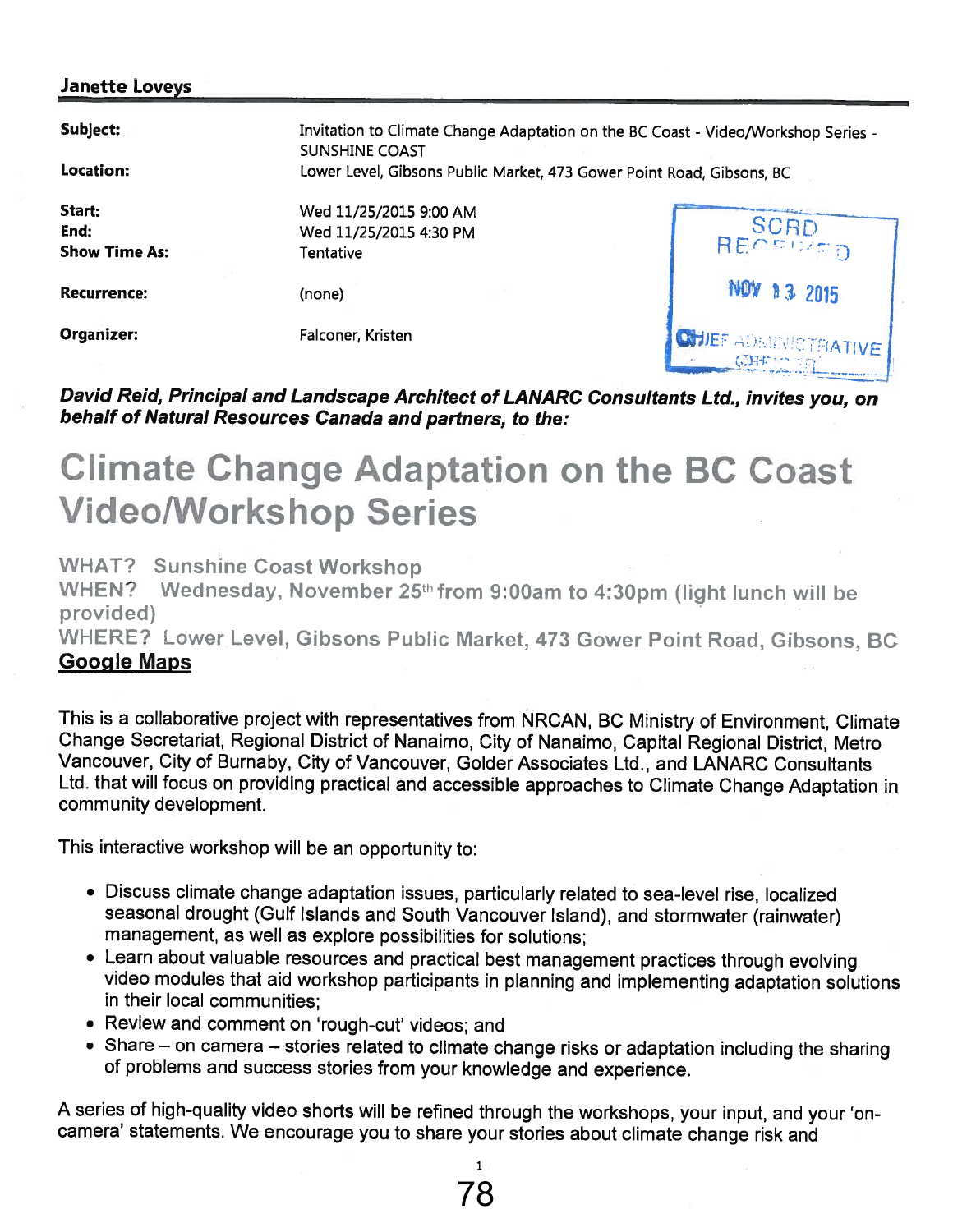### Janette Loveys

| Subject:<br>Location:                  | Invitation to Climate Change Adaptation on the BC Coast - Video/Workshop Series -<br><b>SUNSHINE COAST</b><br>Lower Level, Gibsons Public Market, 473 Gower Point Road, Gibsons, BC |                                         |  |
|----------------------------------------|-------------------------------------------------------------------------------------------------------------------------------------------------------------------------------------|-----------------------------------------|--|
| Start:<br>End:<br><b>Show Time As:</b> | Wed 11/25/2015 9:00 AM<br>Wed 11/25/2015 4:30 PM<br>Tentative                                                                                                                       | RECEIVED                                |  |
| Recurrence:                            | (none)                                                                                                                                                                              | <b>NOW 13 2015</b>                      |  |
| Organizer:                             | Falconer, Kristen                                                                                                                                                                   | <b>CHIEF ADMINISTRATIVE</b><br>身にいつ てにわ |  |

## David Reid, Principal and Landscape Architect of LANARC Consultants Ltd., invites you, on behalf of Natural Resources Canada and partners, to the:

# Climate Change Adaptation on the BC Coast VideolWorkshop Series

WHAT? Sunshine Coast Workshop

WHEN? Wednesday, November  $25<sup>th</sup>$  from 9:00am to 4:30pm (light lunch will be provided)

WHERE? Lower Level, Gibsons Public Market, 473 Gower Point Road, Gibsons, BC Google Maps

This is <sup>a</sup> collaborative project with representatives from NRCAN, BC Ministry of Environment, Climate Change Secretariat, Regional District of Nanaimo, City of Nanaimo, Capital Regional District, Metro Vancouver, City of Burnaby, City of Vancouver, Golder Associates Ltd., and LANARC Consultants Ltd. that will focus on providing practical and accessible approaches to Climate Change Adaptation in community development.

This interactive workshop will be an opportunity to:

- Discuss climate change adaptation issues, particularly related to sea-level rise, localized seasonal drought (Gulf Islands and South Vancouver Island), and stormwater (rainwater) management, as well as explore possibilities for solutions;
- Learn about valuable resources and practical best management practices through evolving video modules that aid workshop participants in planning and implementing adaptation solutions in their local communities;
- Review and comment on 'rough-cut' videos; and
- Share on camera stories related to climate change risks or adaptation including the sharing of problems and success stories from your knowledge and experience.

<sup>A</sup> series of high-quality video shorts will be refined through the workshops, your input, and your 'on camera' statements. We encourage you to share your stories about climate change risk and

1 78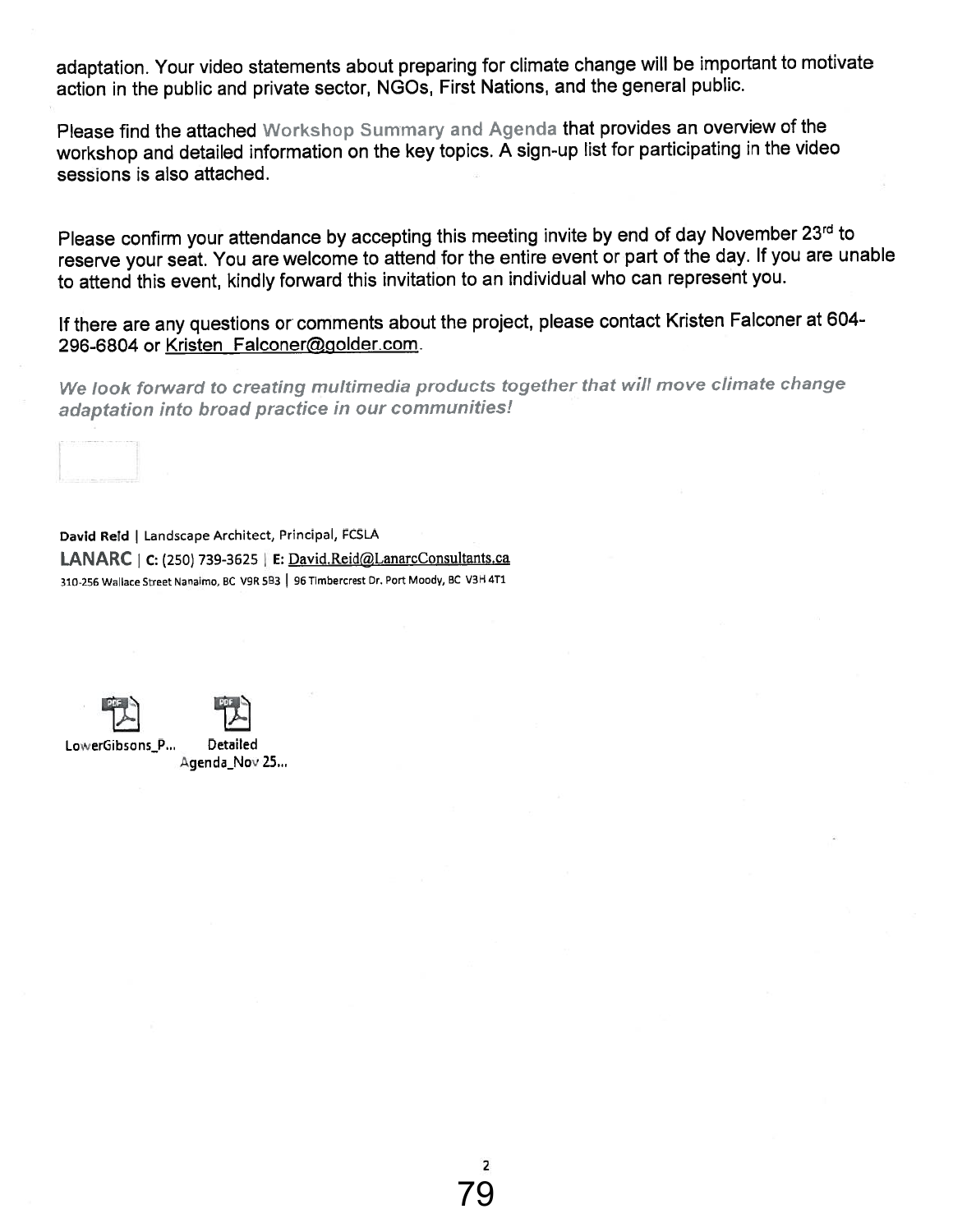adaptation. Your video statements about preparing for climate change will be important to motivate action in the public and private sector, NGOs, First Nations, and the genera<sup>l</sup> public.

Please find the attached Workshop Summary and Agenda that provides an overview of the workshop and detailed information on the key topics.  $\bar{A}$  sign-up list for participating in the video sessions is also attached.

Please confirm your attendance by accepting this meeting invite by end of day November 23rd to reserve your seat. You are welcome to attend for the entire event or par<sup>t</sup> of the day. If you are unable to attend this event, kindly forward this invitation to an individual who can represen<sup>t</sup> you.

If there are any questions or comments about the project, <sup>p</sup>lease contact Kristen Falconer at 604- 296-6804 or Kristen Falconer@golder.com.

We look forward to creating multimedia products together that will move climate change adaptation into broad practice in our communities!

David Reid | Landscape Architect, Principal, FCSLA  $LANARC$  | C: (250) 739-3625 | E: David.Reid@LanarcConsultants.ca 310-256 Wallace Street Nanalmo, BC V9R 5B3 | 96 Timbercrest Dr. Port Moody, BC V3H 4T1



LowerGibsons\_P... Detailed Agenda\_Nov 25...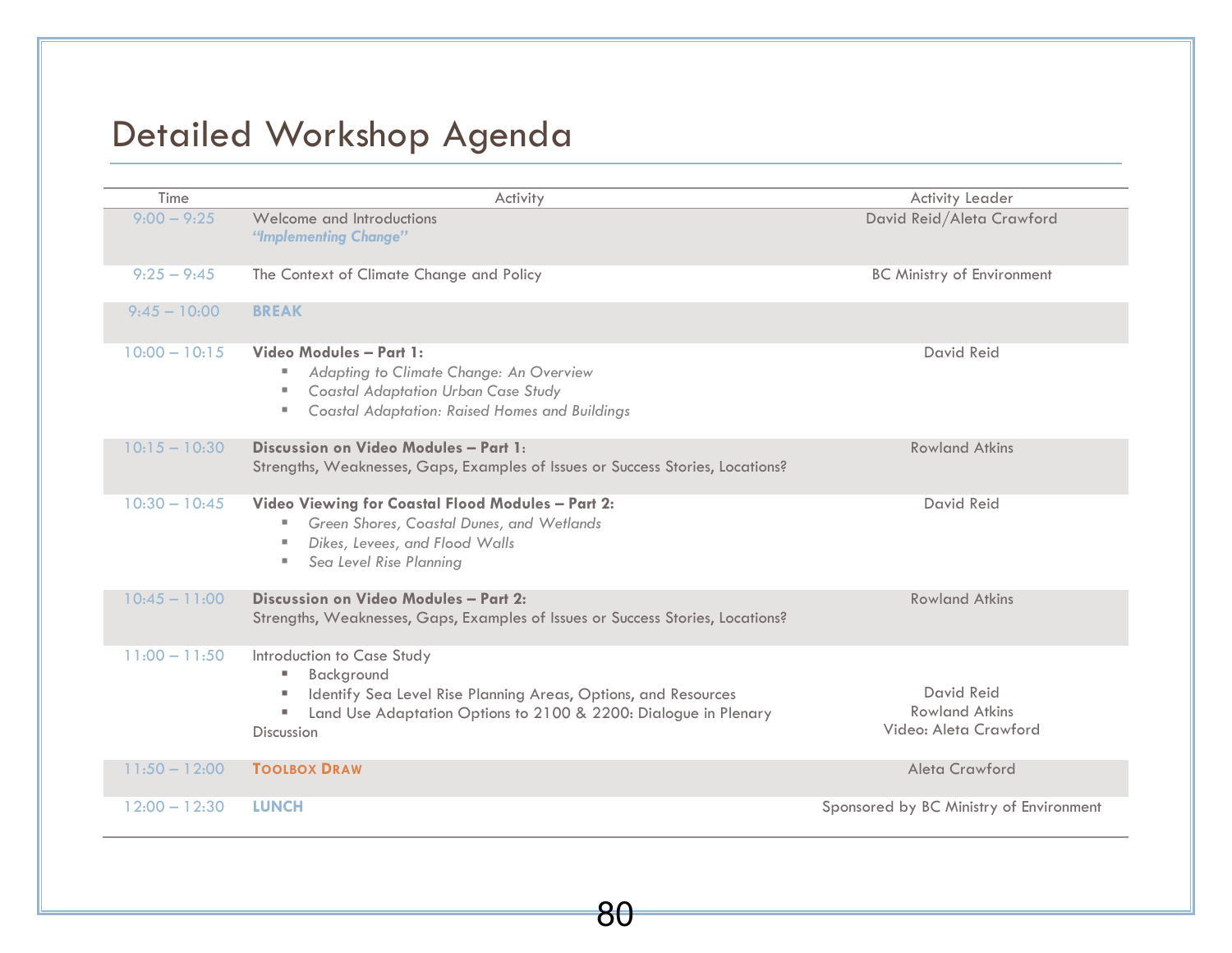# Detailed Workshop Agenda

| Time            | Activity                                                                                                                                                                                                                 | <b>Activity Leader</b>                                              |
|-----------------|--------------------------------------------------------------------------------------------------------------------------------------------------------------------------------------------------------------------------|---------------------------------------------------------------------|
| $9:00 - 9:25$   | Welcome and Introductions<br>"Implementing Change"                                                                                                                                                                       | David Reid/Aleta Crawford                                           |
| $9:25 - 9:45$   | The Context of Climate Change and Policy                                                                                                                                                                                 | <b>BC Ministry of Environment</b>                                   |
| $9:45 - 10:00$  | <b>BREAK</b>                                                                                                                                                                                                             |                                                                     |
| $10:00 - 10:15$ | Video Modules - Part 1:<br>Adapting to Climate Change: An Overview<br>ш<br><b>Coastal Adaptation Urban Case Study</b><br><b>COL</b><br>Coastal Adaptation: Raised Homes and Buildings<br>ш                               | <b>David Reid</b>                                                   |
| $10:15 - 10:30$ | Discussion on Video Modules - Part 1:<br>Strengths, Weaknesses, Gaps, Examples of Issues or Success Stories, Locations?                                                                                                  | <b>Rowland Atkins</b>                                               |
| $10:30 - 10:45$ | Video Viewing for Coastal Flood Modules - Part 2:<br>Green Shores, Coastal Dunes, and Wetlands<br>ш<br>Dikes, Levees, and Flood Walls<br>×.<br>Sea Level Rise Planning<br>ш                                              | David Reid                                                          |
| $10:45 - 11:00$ | Discussion on Video Modules - Part 2:<br>Strengths, Weaknesses, Gaps, Examples of Issues or Success Stories, Locations?                                                                                                  | <b>Rowland Atkins</b>                                               |
| $11:00 - 11:50$ | Introduction to Case Study<br>Background<br>ш<br>Identify Sea Level Rise Planning Areas, Options, and Resources<br><b>I</b><br>Land Use Adaptation Options to 2100 & 2200: Dialogue in Plenary<br>ш<br><b>Discussion</b> | <b>David Reid</b><br><b>Rowland Atkins</b><br>Video: Aleta Crawford |
| $11:50 - 12:00$ | <b>TOOLBOX DRAW</b>                                                                                                                                                                                                      | Aleta Crawford                                                      |
| $12:00 - 12:30$ | <b>LUNCH</b>                                                                                                                                                                                                             | Sponsored by BC Ministry of Environment                             |

80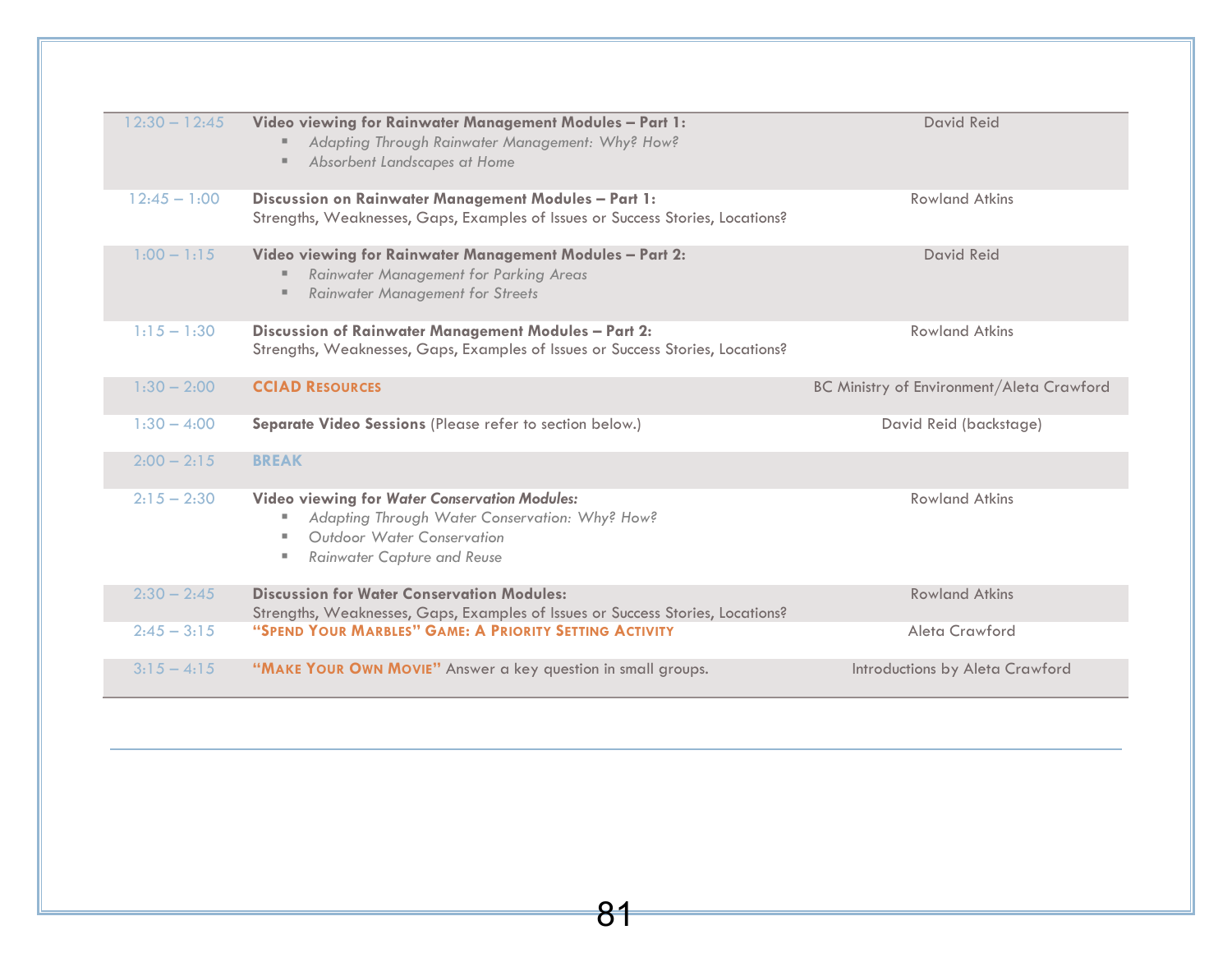| $12:30 - 12:45$ | Video viewing for Rainwater Management Modules - Part 1:<br>Adapting Through Rainwater Management: Why? How?<br>Absorbent Landscapes at Home                        | David Reid                                       |
|-----------------|---------------------------------------------------------------------------------------------------------------------------------------------------------------------|--------------------------------------------------|
| $12:45 - 1:00$  | Discussion on Rainwater Management Modules - Part 1:<br>Strengths, Weaknesses, Gaps, Examples of Issues or Success Stories, Locations?                              | <b>Rowland Atkins</b>                            |
| $1:00 - 1:15$   | Video viewing for Rainwater Management Modules - Part 2:<br>Rainwater Management for Parking Areas<br><b>Rainwater Management for Streets</b>                       | David Reid                                       |
| $1:15 - 1:30$   | Discussion of Rainwater Management Modules - Part 2:<br>Strengths, Weaknesses, Gaps, Examples of Issues or Success Stories, Locations?                              | <b>Rowland Atkins</b>                            |
| $1:30 - 2:00$   | <b>CCIAD RESOURCES</b>                                                                                                                                              | <b>BC Ministry of Environment/Aleta Crawford</b> |
| $1:30 - 4:00$   | Separate Video Sessions (Please refer to section below.)                                                                                                            | David Reid (backstage)                           |
| $2:00 - 2:15$   | <b>BREAK</b>                                                                                                                                                        |                                                  |
| $2:15 - 2:30$   | Video viewing for Water Conservation Modules:<br>Adapting Through Water Conservation: Why? How?<br>Outdoor Water Conservation<br><b>Rainwater Capture and Reuse</b> | <b>Rowland Atkins</b>                            |
| $2:30 - 2:45$   | <b>Discussion for Water Conservation Modules:</b><br>Strengths, Weaknesses, Gaps, Examples of Issues or Success Stories, Locations?                                 | <b>Rowland Atkins</b>                            |
| $2:45 - 3:15$   | "SPEND YOUR MARBLES" GAME: A PRIORITY SETTING ACTIVITY                                                                                                              | Aleta Crawford                                   |
| $3:15 - 4:15$   | "MAKE YOUR OWN MOVIE" Answer a key question in small groups.                                                                                                        | Introductions by Aleta Crawford                  |

81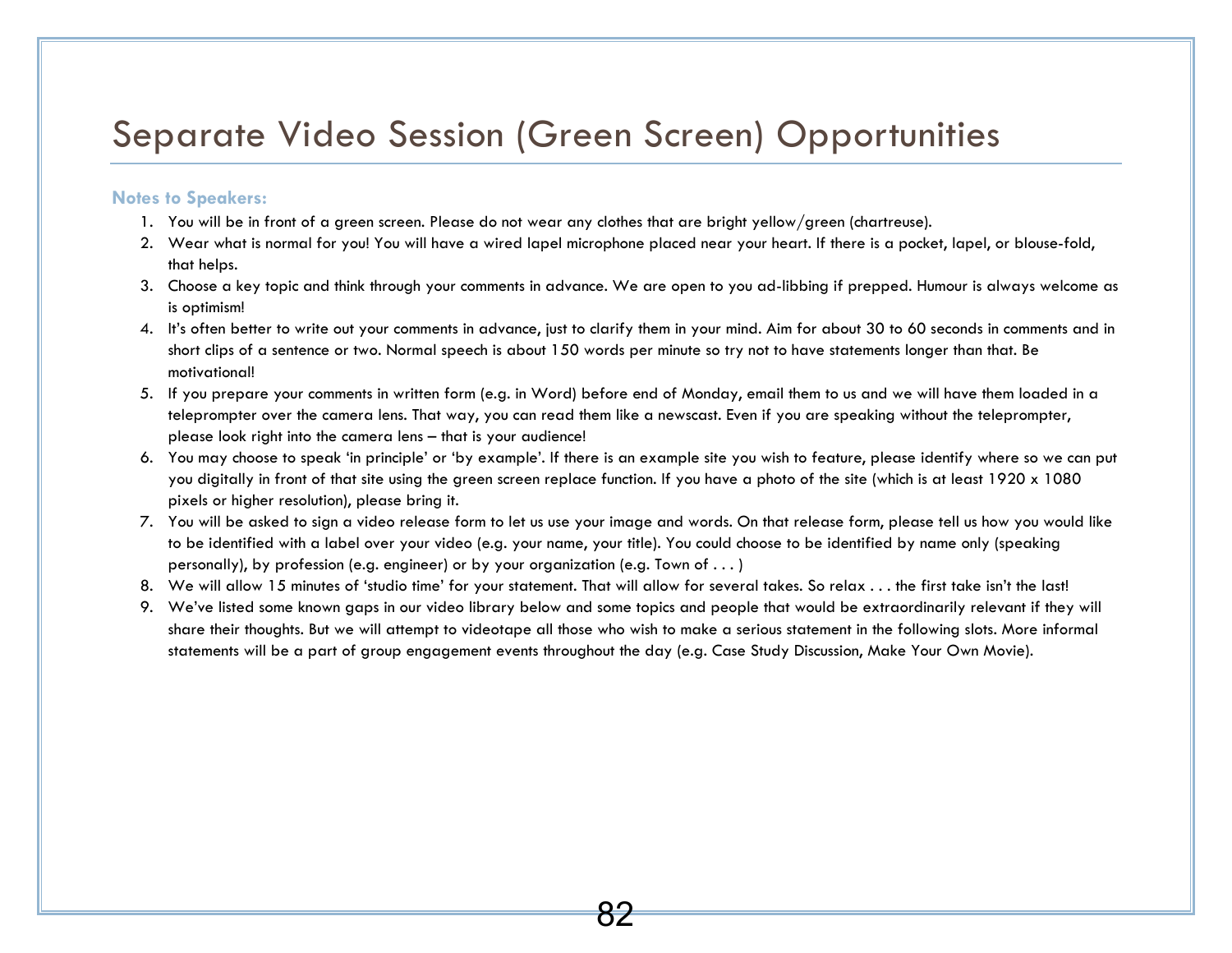## Separate Video Session (Green Screen) Opportunities

#### **Notes to Speakers:**

- 1. You will be in front of a green screen. Please do not wear any clothes that are bright yellow/green (chartreuse).
- 2. Wear what is normal for you! You will have a wired lapel microphone placed near your heart. If there is a pocket, lapel, or blouse-fold, that helps.
- 3. Choose a key topic and think through your comments in advance. We are open to you ad-libbing if prepped. Humour is always welcome as is optimism!
- 4. It's often better to write out your comments in advance, just to clarify them in your mind. Aim for about 30 to 60 seconds in comments and in short clips of a sentence or two. Normal speech is about 150 words per minute so try not to have statements longer than that. Be motivational!
- 5. If you prepare your comments in written form (e.g. in Word) before end of Monday, email them to us and we will have them loaded in a teleprompter over the camera lens. That way, you can read them like a newscast. Even if you are speaking without the teleprompter, please look right into the camera lens – that is your audience!
- 6. You may choose to speak 'in principle' or 'by example'. If there is an example site you wish to feature, please identify where so we can put you digitally in front of that site using the green screen replace function. If you have a photo of the site (which is at least 1920 x 1080 pixels or higher resolution), please bring it.
- 7. You will be asked to sign a video release form to let us use your image and words. On that release form, please tell us how you would like to be identified with a label over your video (e.g. your name, your title). You could choose to be identified by name only (speaking personally), by profession (e.g. engineer) or by your organization (e.g. Town of . . . )
- 8. We will allow 15 minutes of 'studio time' for your statement. That will allow for several takes. So relax . . . the first take isn't the last!
- 9. We've listed some known gaps in our video library below and some topics and people that would be extraordinarily relevant if they will share their thoughts. But we will attempt to videotape all those who wish to make a serious statement in the following slots. More informal statements will be a part of group engagement events throughout the day (e.g. Case Study Discussion, Make Your Own Movie).

8ź